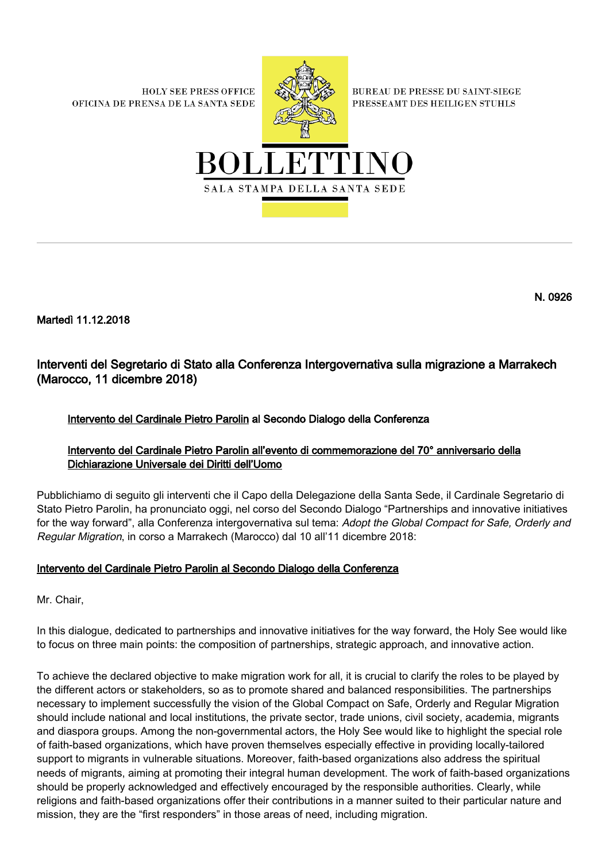**HOLY SEE PRESS OFFICE** OFICINA DE PRENSA DE LA SANTA SEDE



**BUREAU DE PRESSE DU SAINT-SIEGE** PRESSEAMT DES HEILIGEN STUHLS



N. 0926

Martedì 11.12.2018

# Interventi del Segretario di Stato alla Conferenza Intergovernativa sulla migrazione a Marrakech (Marocco, 11 dicembre 2018)

## Intervento del Cardinale Pietro Parolin al Secondo Dialogo della Conferenza

## Intervento del Cardinale Pietro Parolin all'evento di commemorazione del 70° anniversario della Dichiarazione Universale dei Diritti dell'Uomo

Pubblichiamo di seguito gli interventi che il Capo della Delegazione della Santa Sede, il Cardinale Segretario di Stato Pietro Parolin, ha pronunciato oggi, nel corso del Secondo Dialogo "Partnerships and innovative initiatives for the way forward", alla Conferenza intergovernativa sul tema: Adopt the Global Compact for Safe, Orderly and Regular Migration, in corso a Marrakech (Marocco) dal 10 all'11 dicembre 2018:

## Intervento del Cardinale Pietro Parolin al Secondo Dialogo della Conferenza

Mr. Chair,

In this dialogue, dedicated to partnerships and innovative initiatives for the way forward, the Holy See would like to focus on three main points: the composition of partnerships, strategic approach, and innovative action.

To achieve the declared objective to make migration work for all, it is crucial to clarify the roles to be played by the different actors or stakeholders, so as to promote shared and balanced responsibilities. The partnerships necessary to implement successfully the vision of the Global Compact on Safe, Orderly and Regular Migration should include national and local institutions, the private sector, trade unions, civil society, academia, migrants and diaspora groups. Among the non-governmental actors, the Holy See would like to highlight the special role of faith-based organizations, which have proven themselves especially effective in providing locally-tailored support to migrants in vulnerable situations. Moreover, faith-based organizations also address the spiritual needs of migrants, aiming at promoting their integral human development. The work of faith-based organizations should be properly acknowledged and effectively encouraged by the responsible authorities. Clearly, while religions and faith-based organizations offer their contributions in a manner suited to their particular nature and mission, they are the "first responders" in those areas of need, including migration.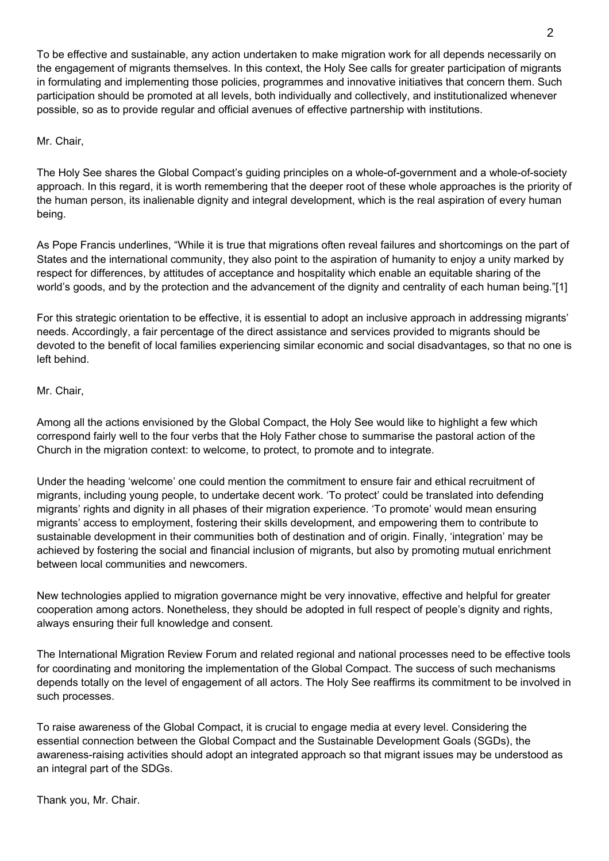To be effective and sustainable, any action undertaken to make migration work for all depends necessarily on the engagement of migrants themselves. In this context, the Holy See calls for greater participation of migrants in formulating and implementing those policies, programmes and innovative initiatives that concern them. Such participation should be promoted at all levels, both individually and collectively, and institutionalized whenever possible, so as to provide regular and official avenues of effective partnership with institutions.

#### Mr. Chair,

The Holy See shares the Global Compact's guiding principles on a whole-of-government and a whole-of-society approach. In this regard, it is worth remembering that the deeper root of these whole approaches is the priority of the human person, its inalienable dignity and integral development, which is the real aspiration of every human being.

As Pope Francis underlines, "While it is true that migrations often reveal failures and shortcomings on the part of States and the international community, they also point to the aspiration of humanity to enjoy a unity marked by respect for differences, by attitudes of acceptance and hospitality which enable an equitable sharing of the world's goods, and by the protection and the advancement of the dignity and centrality of each human being."[1]

For this strategic orientation to be effective, it is essential to adopt an inclusive approach in addressing migrants' needs. Accordingly, a fair percentage of the direct assistance and services provided to migrants should be devoted to the benefit of local families experiencing similar economic and social disadvantages, so that no one is left behind.

#### Mr. Chair,

Among all the actions envisioned by the Global Compact, the Holy See would like to highlight a few which correspond fairly well to the four verbs that the Holy Father chose to summarise the pastoral action of the Church in the migration context: to welcome, to protect, to promote and to integrate.

Under the heading 'welcome' one could mention the commitment to ensure fair and ethical recruitment of migrants, including young people, to undertake decent work. 'To protect' could be translated into defending migrants' rights and dignity in all phases of their migration experience. 'To promote' would mean ensuring migrants' access to employment, fostering their skills development, and empowering them to contribute to sustainable development in their communities both of destination and of origin. Finally, 'integration' may be achieved by fostering the social and financial inclusion of migrants, but also by promoting mutual enrichment between local communities and newcomers.

New technologies applied to migration governance might be very innovative, effective and helpful for greater cooperation among actors. Nonetheless, they should be adopted in full respect of people's dignity and rights, always ensuring their full knowledge and consent.

The International Migration Review Forum and related regional and national processes need to be effective tools for coordinating and monitoring the implementation of the Global Compact. The success of such mechanisms depends totally on the level of engagement of all actors. The Holy See reaffirms its commitment to be involved in such processes.

To raise awareness of the Global Compact, it is crucial to engage media at every level. Considering the essential connection between the Global Compact and the Sustainable Development Goals (SGDs), the awareness-raising activities should adopt an integrated approach so that migrant issues may be understood as an integral part of the SDGs.

Thank you, Mr. Chair.